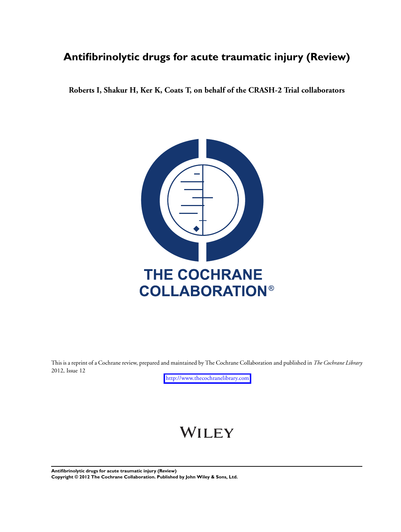## **Antifibrinolytic drugs for acute traumatic injury (Review)**

**Roberts I, Shakur H, Ker K, Coats T, on behalf of the CRASH-2 Trial collaborators**



This is a reprint of a Cochrane review, prepared and maintained by The Cochrane Collaboration and published in *The Cochrane Library* 2012, Issue 12

<http://www.thecochranelibrary.com>

# WILEY

**Antifibrinolytic drugs for acute traumatic injury (Review) Copyright © 2012 The Cochrane Collaboration. Published by John Wiley & Sons, Ltd.**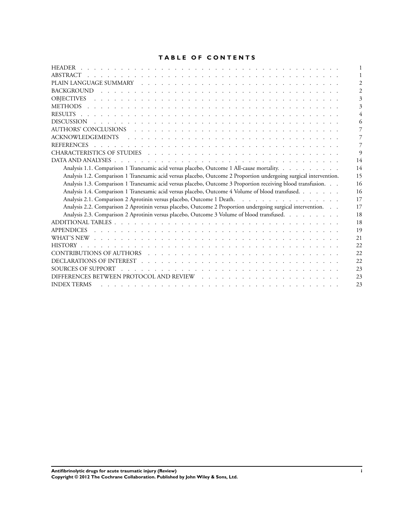## **TABLE OF CONTENTS**

| 14                                                                                                                      |
|-------------------------------------------------------------------------------------------------------------------------|
| Analysis 1.1. Comparison 1 Tranexamic acid versus placebo, Outcome 1 All-cause mortality.<br>14                         |
| Analysis 1.2. Comparison 1 Tranexamic acid versus placebo, Outcome 2 Proportion undergoing surgical intervention.<br>15 |
| Analysis 1.3. Comparison 1 Tranexamic acid versus placebo, Outcome 3 Proportion receiving blood transfusion.<br>16      |
| Analysis 1.4. Comparison 1 Tranexamic acid versus placebo, Outcome 4 Volume of blood transfused.<br>16                  |
| Analysis 2.1. Comparison 2 Aprotinin versus placebo, Outcome 1 Death.<br>17                                             |
| Analysis 2.2. Comparison 2 Aprotinin versus placebo, Outcome 2 Proportion undergoing surgical intervention.<br>17       |
| Analysis 2.3. Comparison 2 Aprotinin versus placebo, Outcome 3 Volume of blood transfused.<br>18                        |
| 18                                                                                                                      |
| 19                                                                                                                      |
| 21                                                                                                                      |
| 22                                                                                                                      |
| 22                                                                                                                      |
| 22                                                                                                                      |
| 23                                                                                                                      |
| 2 <sup>3</sup>                                                                                                          |
| <b>INDEX TERMS</b><br>2 <sup>3</sup>                                                                                    |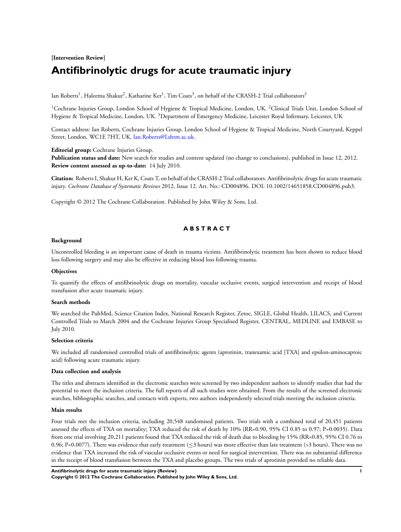## **[Intervention Review] Antifibrinolytic drugs for acute traumatic injury**

Ian Roberts<sup>1</sup>, Haleema Shakur<sup>2</sup>, Katharine Ker<sup>1</sup>, Tim Coats<sup>3</sup>, on behalf of the CRASH-2 Trial collaborators<sup>2</sup>

<sup>1</sup>Cochrane Injuries Group, London School of Hygiene & Tropical Medicine, London, UK. <sup>2</sup>Clinical Trials Unit, London School of Hygiene & Tropical Medicine, London, UK.<sup>3</sup> Department of Emergency Medicine, Leicester Royal Infirmary, Leicester, UK

Contact address: Ian Roberts, Cochrane Injuries Group, London School of Hygiene & Tropical Medicine, North Courtyard, Keppel Street, London, WC1E 7HT, UK. [Ian.Roberts@Lshtm.ac.uk](mailto:Ian.Roberts@Lshtm.ac.uk).

**Editorial group:** Cochrane Injuries Group.

**Publication status and date:** New search for studies and content updated (no change to conclusions), published in Issue 12, 2012. **Review content assessed as up-to-date:** 14 July 2010.

**Citation:** Roberts I, Shakur H, Ker K, Coats T, on behalf of the CRASH-2 Trial collaborators. Antifibrinolytic drugs for acute traumatic injury. *Cochrane Database of Systematic Reviews* 2012, Issue 12. Art. No.: CD004896. DOI: 10.1002/14651858.CD004896.pub3.

Copyright © 2012 The Cochrane Collaboration. Published by John Wiley & Sons, Ltd.

## **A B S T R A C T**

#### **Background**

Uncontrolled bleeding is an important cause of death in trauma victims. Antifibrinolytic treatment has been shown to reduce blood loss following surgery and may also be effective in reducing blood loss following trauma.

## **Objectives**

To quantify the effects of antifibrinolytic drugs on mortality, vascular occlusive events, surgical intervention and receipt of blood transfusion after acute traumatic injury.

#### **Search methods**

We searched the PubMed, Science Citation Index, National Research Register, Zetoc, SIGLE, Global Health, LILACS, and Current Controlled Trials to March 2004 and the Cochrane Injuries Group Specialised Register, CENTRAL, MEDLINE and EMBASE to July 2010.

#### **Selection criteria**

We included all randomised controlled trials of antifibrinolytic agents (aprotinin, tranexamic acid [TXA] and epsilon-aminocaproic acid) following acute traumatic injury.

#### **Data collection and analysis**

The titles and abstracts identified in the electronic searches were screened by two independent authors to identify studies that had the potential to meet the inclusion criteria. The full reports of all such studies were obtained. From the results of the screened electronic searches, bibliographic searches, and contacts with experts, two authors independently selected trials meeting the inclusion criteria.

#### **Main results**

Four trials met the inclusion criteria, including 20,548 randomised patients. Two trials with a combined total of 20,451 patients assessed the effects of TXA on mortality; TXA reduced the risk of death by 10% (RR=0.90, 95% CI 0.85 to 0.97; P=0.0035). Data from one trial involving 20,211 patients found that TXA reduced the risk of death due to bleeding by 15% (RR=0.85, 95% CI 0.76 to 0.96; P=0.0077). There was evidence that early treatment ( $\leq$ 3 hours) was more effective than late treatment (>3 hours). There was no evidence that TXA increased the risk of vascular occlusive events or need for surgical intervention. There was no substantial difference in the receipt of blood transfusion between the TXA and placebo groups. The two trials of aprotinin provided no reliable data.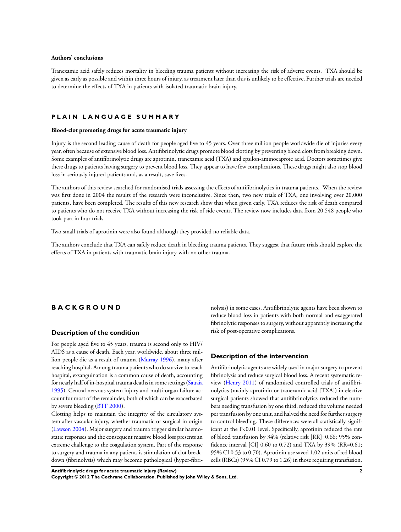#### **Authors' conclusions**

Tranexamic acid safely reduces mortality in bleeding trauma patients without increasing the risk of adverse events. TXA should be given as early as possible and within three hours of injury, as treatment later than this is unlikely to be effective. Further trials are needed to determine the effects of TXA in patients with isolated traumatic brain injury.

#### **P L A I N L A N G U A G E S U M M A R Y**

#### **Blood-clot promoting drugs for acute traumatic injury**

Injury is the second leading cause of death for people aged five to 45 years. Over three million people worldwide die of injuries every year, often because of extensive blood loss. Antifibrinolytic drugs promote blood clotting by preventing blood clots from breaking down. Some examples of antifibrinolytic drugs are aprotinin, tranexamic acid (TXA) and epsilon-aminocaproic acid. Doctors sometimes give these drugs to patients having surgery to prevent blood loss. They appear to have few complications. These drugs might also stop blood loss in seriously injured patients and, as a result, save lives.

The authors of this review searched for randomised trials assessing the effects of antifibrinolytics in trauma patients. When the review was first done in 2004 the results of the research were inconclusive. Since then, two new trials of TXA, one involving over 20,000 patients, have been completed. The results of this new research show that when given early, TXA reduces the risk of death compared to patients who do not receive TXA without increasing the risk of side events. The review now includes data from 20,548 people who took part in four trials.

Two small trials of aprotinin were also found although they provided no reliable data.

The authors conclude that TXA can safely reduce death in bleeding trauma patients. They suggest that future trials should explore the effects of TXA in patients with traumatic brain injury with no other trauma.

## **B A C K G R O U N D**

#### **Description of the condition**

For people aged five to 45 years, trauma is second only to HIV/ AIDS as a cause of death. Each year, worldwide, about three million people die as a result of trauma ([Murray 1996\)](#page-8-0), many after reaching hospital. Among trauma patients who do survive to reach hospital, exsanguination is a common cause of death, accounting for nearly half of in-hospital trauma deaths in some settings[\(Sauaia](#page-8-0) [1995](#page-8-0)). Central nervous system injury and multi-organ failure account for most of the remainder, both of which can be exacerbated by severe bleeding [\(BTF 2000](#page-8-0)).

Clotting helps to maintain the integrity of the circulatory system after vascular injury, whether traumatic or surgical in origin [\(Lawson 2004\)](#page-8-0). Major surgery and trauma trigger similar haemostatic responses and the consequent massive blood loss presents an extreme challenge to the coagulation system. Part of the response to surgery and trauma in any patient, is stimulation of clot breakdown (fibrinolysis) which may become pathological (hyper-fibrinolysis) in some cases. Antifibrinolytic agents have been shown to reduce blood loss in patients with both normal and exaggerated fibrinolytic responses to surgery, without apparently increasing the risk of post-operative complications.

## **Description of the intervention**

Antifibrinolytic agents are widely used in major surgery to prevent fibrinolysis and reduce surgical blood loss. A recent systematic review [\(Henry 2011\)](#page-8-0) of randomised controlled trials of antifibrinolytics (mainly aprotinin or tranexamic acid [TXA]) in elective surgical patients showed that antifibrinolytics reduced the numbers needing transfusion by one third, reduced the volume needed per transfusion by one unit, and halved the need for further surgery to control bleeding. These differences were all statistically significant at the P<0.01 level. Specifically, aprotinin reduced the rate of blood transfusion by 34% (relative risk [RR]=0.66; 95% confidence interval [CI] 0.60 to 0.72) and TXA by 39% (RR=0.61; 95% CI 0.53 to 0.70). Aprotinin use saved 1.02 units of red blood cells (RBCs) (95% CI 0.79 to 1.26) in those requiring transfusion,

**Antifibrinolytic drugs for acute traumatic injury (Review) 2 Copyright © 2012 The Cochrane Collaboration. Published by John Wiley & Sons, Ltd.**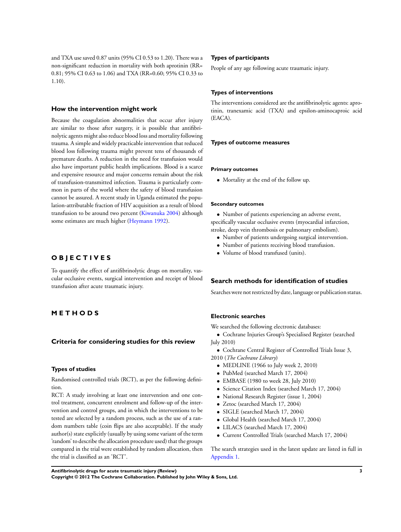and TXA use saved 0.87 units (95% CI 0.53 to 1.20). There was a non-significant reduction in mortality with both aprotinin (RR= 0.81; 95% CI 0.63 to 1.06) and TXA (RR=0.60; 95% CI 0.33 to 1.10).

#### **How the intervention might work**

Because the coagulation abnormalities that occur after injury are similar to those after surgery, it is possible that antifibrinolytic agents might also reduce blood loss and mortality following trauma. A simple and widely practicable intervention that reduced blood loss following trauma might prevent tens of thousands of premature deaths. A reduction in the need for transfusion would also have important public health implications. Blood is a scarce and expensive resource and major concerns remain about the risk of transfusion-transmitted infection. Trauma is particularly common in parts of the world where the safety of blood transfusion cannot be assured. A recent study in Uganda estimated the population-attributable fraction of HIV acquisition as a result of blood transfusion to be around two percent ([Kiwanuka 2004](#page-8-0)) although some estimates are much higher ([Heymann 1992\)](#page-8-0).

## **O B J E C T I V E S**

To quantify the effect of antifibrinolytic drugs on mortality, vascular occlusive events, surgical intervention and receipt of blood transfusion after acute traumatic injury.

## **M E T H O D S**

## **Criteria for considering studies for this review**

#### **Types of studies**

Randomised controlled trials (RCT), as per the following definition.

RCT: A study involving at least one intervention and one control treatment, concurrent enrolment and follow-up of the intervention and control groups, and in which the interventions to be tested are selected by a random process, such as the use of a random numbers table (coin flips are also acceptable). If the study author(s) state explicitly (usually by using some variant of the term 'random' to describe the allocation procedure used) that the groups compared in the trial were established by random allocation, then the trial is classified as an 'RCT'.

#### **Types of participants**

People of any age following acute traumatic injury.

#### **Types of interventions**

The interventions considered are the antifibrinolytic agents: aprotinin, tranexamic acid (TXA) and epsilon-aminocaproic acid (EACA).

#### **Types of outcome measures**

#### **Primary outcomes**

• Mortality at the end of the follow up.

#### **Secondary outcomes**

• Number of patients experiencing an adverse event, specifically vascular occlusive events (myocardial infarction, stroke, deep vein thrombosis or pulmonary embolism).

- Number of patients undergoing surgical intervention.
- Number of patients receiving blood transfusion.
- Volume of blood transfused (units).

#### **Search methods for identification of studies**

Searches were not restricted by date, language or publication status.

#### **Electronic searches**

We searched the following electronic databases:

- Cochrane Injuries Group's Specialised Register (searched July 2010)
- Cochrane Central Register of Controlled Trials Issue 3, 2010 (*The Cochrane Library*)
	- MEDLINE (1966 to July week 2, 2010)
	- PubMed (searched March 17, 2004)
	- EMBASE (1980 to week 28, July 2010)
	- Science Citation Index (searched March 17, 2004)
	- National Research Register (issue 1, 2004)
	- Zetoc (searched March 17, 2004)
	- SIGLE (searched March 17, 2004)
	- Global Health (searched March 17, 2004)
	- LILACS (searched March 17, 2004)
	- Current Controlled Trials (searched March 17, 2004)

The search strategies used in the latest update are listed in full in [Appendix 1.](#page-20-0)

**Antifibrinolytic drugs for acute traumatic injury (Review) 3**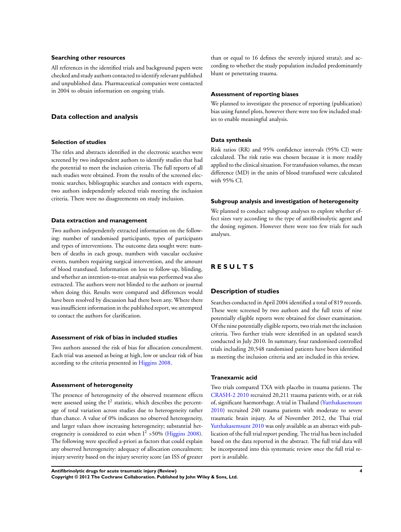#### **Searching other resources**

All references in the identified trials and background papers were checked and study authors contacted to identify relevant published and unpublished data. Pharmaceutical companies were contacted in 2004 to obtain information on ongoing trials.

#### **Data collection and analysis**

#### **Selection of studies**

The titles and abstracts identified in the electronic searches were screened by two independent authors to identify studies that had the potential to meet the inclusion criteria. The full reports of all such studies were obtained. From the results of the screened electronic searches, bibliographic searches and contacts with experts, two authors independently selected trials meeting the inclusion criteria. There were no disagreements on study inclusion.

#### **Data extraction and management**

Two authors independently extracted information on the following: number of randomised participants, types of participants and types of interventions. The outcome data sought were: numbers of deaths in each group, numbers with vascular occlusive events, numbers requiring surgical intervention, and the amount of blood transfused. Information on loss to follow-up, blinding, and whether an intention-to-treat analysis was performed was also extracted. The authors were not blinded to the authors or journal when doing this. Results were compared and differences would have been resolved by discussion had there been any. Where there was insufficient information in the published report, we attempted to contact the authors for clarification.

#### **Assessment of risk of bias in included studies**

Two authors assessed the risk of bias for allocation concealment. Each trial was assessed as being at high, low or unclear risk of bias according to the criteria presented in [Higgins 2008](#page-8-0).

#### **Assessment of heterogeneity**

The presence of heterogeneity of the observed treatment effects were assessed using the  $I^2$  statistic, which describes the percentage of total variation across studies due to heterogeneity rather than chance. A value of 0% indicates no observed heterogeneity, and larger values show increasing heterogeneity; substantial heterogeneity is considered to exist when  $I^2 > 50\%$  [\(Higgins 2008](#page-8-0)). The following were specified a-priori as factors that could explain any observed heterogeneity: adequacy of allocation concealment; injury severity based on the injury severity score (an ISS of greater

than or equal to 16 defines the severely injured strata); and according to whether the study population included predominantly blunt or penetrating trauma.

#### **Assessment of reporting biases**

We planned to investigate the presence of reporting (publication) bias using funnel plots, however there were too few included studies to enable meaningful analysis.

#### **Data synthesis**

Risk ratios (RR) and 95% confidence intervals (95% CI) were calculated. The risk ratio was chosen because it is more readily applied to the clinical situation. For transfusion volumes, the mean difference (MD) in the units of blood transfused were calculated with 95% CI.

#### **Subgroup analysis and investigation of heterogeneity**

We planned to conduct subgroup analyses to explore whether effect sizes vary according to the type of antifibrinolytic agent and the dosing regimen. However there were too few trials for such analyses.

## **R E S U L T S**

### **Description of studies**

Searches conducted in April 2004 identified a total of 819 records. These were screened by two authors and the full texts of nine potentially eligible reports were obtained for closer examination. Of the nine potentially eligible reports, two trials met the inclusion criteria. Two further trials were identified in an updated search conducted in July 2010. In summary, four randomised controlled trials including 20,548 randomised patients have been identified as meeting the inclusion criteria and are included in this review.

### **Tranexamic acid**

Two trials compared TXA with placebo in trauma patients. The [CRASH-2 2010](#page-8-0) recruited 20,211 trauma patients with, or at risk of, significant haemorrhage. A trial in Thailand ([Yutthakasemsunt](#page-8-0) [2010](#page-8-0)) recruited 240 trauma patients with moderate to severe traumatic brain injury. As of November 2012, the Thai trial [Yutthakasemsunt 2010](#page-8-0) was only available as an abstract with publication of the full trial report pending. The trial has been included based on the data reported in the abstract. The full trial data will be incorporated into this systematic review once the full trial report is available.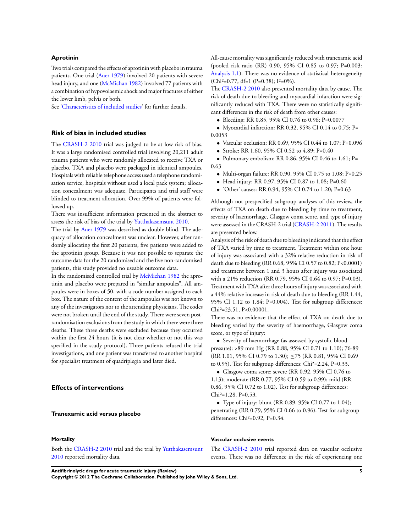#### **Aprotinin**

Two trials compared the effects of aprotinin with placebo in trauma patients. One trial ([Auer 1979](#page-8-0)) involved 20 patients with severe head injury, and one [\(McMichan 1982\)](#page-8-0) involved 77 patients with a combination of hypovolaemic shock and major fractures of either the lower limb, pelvis or both.

See'[Characteristics of included studies](#page-11-0)' for further details.

#### **Risk of bias in included studies**

The [CRASH-2 2010](#page-8-0) trial was judged to be at low risk of bias. It was a large randomised controlled trial involving 20,211 adult trauma patients who were randomly allocated to receive TXA or placebo. TXA and placebo were packaged in identical ampoules. Hospitals with reliable telephone access used a telephone randomisation service, hospitals without used a local pack system; allocation concealment was adequate. Participants and trial staff were blinded to treatment allocation. Over 99% of patients were followed up.

There was insufficient information presented in the abstract to assess the risk of bias of the trial by [Yutthakasemsunt 2010](#page-8-0).

The trial by [Auer 1979](#page-8-0) was described as double blind. The adequacy of allocation concealment was unclear. However, after randomly allocating the first 20 patients, five patients were added to the aprotinin group. Because it was not possible to separate the outcome data for the 20 randomised and the five non-randomised patients, this study provided no useable outcome data.

In the randomised controlled trial by [McMichan 1982](#page-8-0) the aprotinin and placebo were prepared in "similar ampoules". All ampoules were in boxes of 50, with a code number assigned to each box. The nature of the content of the ampoules was not known to any of the investigators nor to the attending physicians. The codes were not broken until the end of the study. There were seven postrandomisation exclusions from the study in which there were three deaths. These three deaths were excluded because they occurred within the first 24 hours (it is not clear whether or not this was specified in the study protocol). Three patients refused the trial investigations, and one patient was transferred to another hospital for specialist treatment of quadriplegia and later died.

## **Effects of interventions**

#### **Tranexamic acid versus placebo**

#### **Mortality**

Both the [CRASH-2 2010](#page-8-0) trial and the trial by [Yutthakasemsunt](#page-8-0) [2010](#page-8-0) reported mortality data.

All-cause mortality was significantly reduced with tranexamic acid (pooled risk ratio (RR) 0.90, 95% CI 0.85 to 0.97; P=0.003: [Analysis 1.1\)](#page-16-0). There was no evidence of statistical heterogeneity (Chi²=0.77, df=1 (P=0.38); I²=0%).

The [CRASH-2 2010](#page-8-0) also presented mortality data by cause. The risk of death due to bleeding and myocardial infarction were significantly reduced with TXA. There were no statistically significant differences in the risk of death from other causes:

- Bleeding: RR 0.85, 95% CI 0.76 to 0.96; P=0.0077
- Myocardial infarction: RR 0.32, 95% CI 0.14 to 0.75; P= 0.0053
	- Vascular occlusion: RR 0.69, 95% CI 0.44 to 1.07; P=0.096
	- Stroke: RR 1.60, 95% CI 0.52 to 4.89; P=0.40

• Pulmonary embolism: RR 0.86, 95% CI 0.46 to 1.61; P= 0.63

- Multi-organ failure: RR 0.90, 95% CI 0.75 to 1.08; P=0.25
- Head injury: RR 0.97, 95% CI 0.87 to 1.08; P=0.60
- 'Other' causes: RR 0.94, 95% CI 0.74 to 1.20; P=0.63

Although not prespecified subgroup analyses of this review, the effects of TXA on death due to bleeding by time to treatment, severity of haemorrhage, Glasgow coma score, and type of injury were assessed in the CRASH-2 trial [\(CRASH-2 2011\)](#page-8-0). The results are presented below.

Analysis of the risk of death due to bleeding indicated that the effect of TXA varied by time to treatment. Treatment within one hour of injury was associated with a 32% relative reduction in risk of death due to bleeding (RR 0.68, 95% CI 0.57 to 0.82; P<0.0001) and treatment between 1 and 3 hours after injury was associated with a 21% reduction (RR 0.79, 95% CI 0.64 to 0.97; P=0.03). Treatment with TXA after three hours of injury was associated with a 44% relative increase in risk of death due to bleeding (RR 1.44, 95% CI 1.12 to 1.84; P=0.004). Test for subgroup differences: Chi²=23.51, P<0.00001.

There was no evidence that the effect of TXA on death due to bleeding varied by the severity of haemorrhage, Glasgow coma score, or type of injury:

• Severity of haemorrhage (as assessed by systolic blood pressure): >89 mm Hg (RR 0.88, 95% CI 0.71 to 1.10); 76-89 (RR 1.01, 95% CI 0.79 to 1.30); ≤75 (RR 0.81, 95% CI 0.69 to 0.95). Test for subgroup differences: Chi²=2.24, P=0.33.

• Glasgow coma score: severe (RR 0.92, 95% CI 0.76 to 1.13); moderate (RR 0.77, 95% CI 0.59 to 0.99); mild (RR 0.86, 95% CI 0.72 to 1.02). Test for subgroup differences: Chi<sup>2</sup>=1.28, P=0.53.

• Type of injury: blunt (RR 0.89, 95% CI 0.77 to 1.04); penetrating (RR 0.79, 95% CI 0.66 to 0.96). Test for subgroup differences: Chi²=0.92, P=0.34.

#### **Vascular occlusive events**

The [CRASH-2 2010](#page-8-0) trial reported data on vascular occlusive events. There was no difference in the risk of experiencing one

**Antifibrinolytic drugs for acute traumatic injury (Review) 5**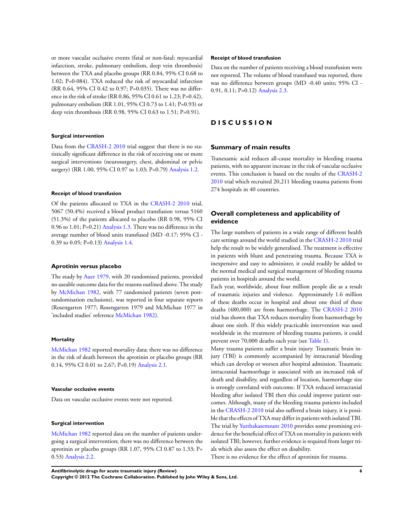or more vascular occlusive events (fatal or non-fatal; myocardial infarction, stroke, pulmonary embolism, deep vein thrombosis) between the TXA and placebo groups (RR 0.84, 95% CI 0.68 to 1.02; P=0·084). TXA reduced the risk of myocardial infarction (RR 0.64, 95% CI 0.42 to 0.97; P=0.035). There was no difference in the risk of stroke (RR 0.86, 95% CI 0.61 to 1.23; P=0.42), pulmonary embolism (RR 1.01, 95% CI 0.73 to 1.41; P=0.93) or deep vein thrombosis (RR 0.98, 95% CI 0.63 to 1.51; P=0.91).

#### **Surgical intervention**

Data from the [CRASH-2 2010](#page-8-0) trial suggest that there is no statistically significant difference in the risk of receiving one or more surgical interventions (neurosurgery, chest, abdominal or pelvic surgery) (RR 1.00, 95% CI 0.97 to 1.03; P=0.79) [Analysis 1.2.](#page-16-0)

#### **Receipt of blood transfusion**

Of the patients allocated to TXA in the [CRASH-2 2010](#page-8-0) trial, 5067 (50.4%) received a blood product transfusion versus 5160 (51.3%) of the patients allocated to placebo (RR 0.98, 95% CI 0.96 to 1.01; P=0.21) [Analysis 1.3.](#page-17-0) There was no difference in the average number of blood units transfused (MD -0.17; 95% CI - 0.39 to 0.05; P=0.13) [Analysis 1.4.](#page-17-0)

#### **Aprotinin versus placebo**

The study by [Auer 1979,](#page-8-0) with 20 randomised patients, provided no useable outcome data for the reasons outlined above. The study by [McMichan 1982,](#page-8-0) with 77 randomised patients (seven postrandomisation exclusions), was reported in four separate reports (Rosengarten 1977; Rosengarten 1979 and McMichan 1977 in 'included studies' reference [McMichan 1982\)](#page-8-0).

#### **Mortality**

[McMichan 1982](#page-8-0) reported mortality data; there was no difference in the risk of death between the aprotinin or placebo groups (RR 0.14, 95% CI 0.01 to 2.67; P=0.19) [Analysis 2.1.](#page-18-0)

#### **Vascular occlusive events**

Data on vascular occlusive events were not reported.

#### **Surgical intervention**

[McMichan 1982](#page-8-0) reported data on the number of patients undergoing a surgical intervention; there was no difference between the aprotinin or placebo groups (RR 1.07, 95% CI 0.87 to 1.33; P= 0.53) [Analysis 2.2.](#page-18-0)

#### **Receipt of blood transfusion**

Data on the number of patients receiving a blood transfusion were not reported. The volume of blood transfused was reported, there was no difference between groups (MD -0.40 units; 95% CI - 0.91, 0.11; P=0.12) [Analysis 2.3.](#page-19-0)

## **D I S C U S S I O N**

#### **Summary of main results**

Tranexamic acid reduces all-cause mortality in bleeding trauma patients, with no apparent increase in the risk of vascular occlusive events. This conclusion is based on the results of the [CRASH-2](#page-8-0) [2010](#page-8-0) trial which recruited 20,211 bleeding trauma patients from 274 hospitals in 40 countries.

## **Overall completeness and applicability of evidence**

The large numbers of patients in a wide range of different health care settings around the world studied in the [CRASH-2 2010](#page-8-0) trial help the result to be widely generalised. The treatment is effective in patients with blunt and penetrating trauma. Because TXA is inexpensive and easy to administer, it could readily be added to the normal medical and surgical management of bleeding trauma patients in hospitals around the world.

Each year, worldwide, about four million people die as a result of traumatic injuries and violence. Approximately 1.6 million of these deaths occur in hospital and about one third of these deaths (480,000) are from haemorrhage. The [CRASH-2 2010](#page-8-0) trial has shown that TXA reduces mortality from haemorrhage by about one sixth. If this widely practicable intervention was used worldwide in the treatment of bleeding trauma patients, it could prevent over 70,000 deaths each year (see [Table 1](#page-19-0)).

Many trauma patients suffer a brain injury. Traumatic brain injury (TBI) is commonly accompanied by intracranial bleeding which can develop or worsen after hospital admission. Traumatic intracranial haemorrhage is associated with an increased risk of death and disability, and regardless of location, haemorrhage size is strongly correlated with outcome. If TXA reduced intracranial bleeding after isolated TBI then this could improve patient outcomes. Although, many of the bleeding trauma patients included in the [CRASH-2 2010](#page-8-0) trial also suffered a brain injury, it is possible that the effects of TXA may differ in patients with isolated TBI. The trial by [Yutthakasemsunt 2010](#page-8-0) provides some promising evidence for the beneficial effect of TXA on mortality in patients with isolated TBI; however, further evidence is required from larger trials which also assess the effect on disability.

There is no evidence for the effect of aprotinin for trauma.

**Antifibrinolytic drugs for acute traumatic injury (Review) 6**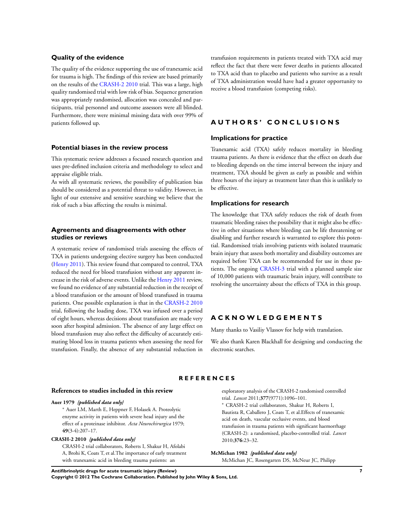#### <span id="page-8-0"></span>**Quality of the evidence**

The quality of the evidence supporting the use of tranexamic acid for trauma is high. The findings of this review are based primarily on the results of the CRASH-2 2010 trial. This was a large, high quality randomised trial with low risk of bias. Sequence generation was appropriately randomised, allocation was concealed and participants, trial personnel and outcome assessors were all blinded. Furthermore, there were minimal missing data with over 99% of patients followed up.

#### **Potential biases in the review process**

This systematic review addresses a focused research question and uses pre-defined inclusion criteria and methodology to select and appraise eligible trials.

As with all systematic reviews, the possibility of publication bias should be considered as a potential threat to validity. However, in light of our extensive and sensitive searching we believe that the risk of such a bias affecting the results is minimal.

#### **Agreements and disagreements with other studies or reviews**

A systematic review of randomised trials assessing the effects of TXA in patients undergoing elective surgery has been conducted (Henry 2011). This review found that compared to control, TXA reduced the need for blood transfusion without any apparent increase in the risk of adverse events. Unlike the Henry 2011 review, we found no evidence of any substantial reduction in the receipt of a blood transfusion or the amount of blood transfused in trauma patients. One possible explanation is that in the CRASH-2 2010 trial, following the loading dose, TXA was infused over a period of eight hours, whereas decisions about transfusion are made very soon after hospital admission. The absence of any large effect on blood transfusion may also reflect the difficulty of accurately estimating blood loss in trauma patients when assessing the need for transfusion. Finally, the absence of any substantial reduction in

transfusion requirements in patients treated with TXA acid may reflect the fact that there were fewer deaths in patients allocated to TXA acid than to placebo and patients who survive as a result of TXA administration would have had a greater opportunity to receive a blood transfusion (competing risks).

## **A U T H O R S ' C O N C L U S I O N S**

#### **Implications for practice**

Tranexamic acid (TXA) safely reduces mortality in bleeding trauma patients. As there is evidence that the effect on death due to bleeding depends on the time interval between the injury and treatment, TXA should be given as early as possible and within three hours of the injury as treatment later than this is unlikely to be effective.

#### **Implications for research**

The knowledge that TXA safely reduces the risk of death from traumatic bleeding raises the possibility that it might also be effective in other situations where bleeding can be life threatening or disabling and further research is warranted to explore this potential. Randomised trials involving patients with isolated traumatic brain injury that assess both mortality and disability outcomes are required before TXA can be recommended for use in these patients. The ongoing CRASH-3 trial with a planned sample size of 10,000 patients with traumatic brain injury, will contribute to resolving the uncertainty about the effects of TXA in this group.

### **A C K N O W L E D G E M E N T S**

Many thanks to Vasiliy Vlassov for help with translation.

We also thank Karen Blackhall for designing and conducting the electronic searches.

#### **R E F E R E N C E S**

#### **References to studies included in this review**

#### **Auer 1979** *{published data only}*

<sup>∗</sup> Auer LM, Marth E, Heppner F, Holasek A. Proteolytic enzyme activity in patients with severe head injury and the effect of a proteinase inhibitor. *Acta Neurochirurgica* 1979; **49**(3-4):207–17.

#### **CRASH-2 2010** *{published data only}*

CRASH-2 trial collaborators, Roberts I, Shakur H, Afolabi A, Brohi K, Coats T, et al.The importance of early treatment with tranexamic acid in bleeding trauma patients: an

exploratory analysis of the CRASH-2 randomised controlled trial. *Lancet* 2011;**377**(9771):1096–101.

<sup>∗</sup> CRASH-2 trial collaborators, Shakur H, Roberts I, Bautista R, Caballero J, Coats T, et al.Effects of tranexamic acid on death, vascular occlusive events, and blood transfusion in trauma patients with significant haemorrhage (CRASH-2): a randomised, placebo-controlled trial. *Lancet* 2010;**376**:23–32.

**McMichan 1982** *{published data only}*

McMichan JC, Rosengarten DS, McNeur JC, Philipp

**Antifibrinolytic drugs for acute traumatic injury (Review) 7 Copyright © 2012 The Cochrane Collaboration. Published by John Wiley & Sons, Ltd.**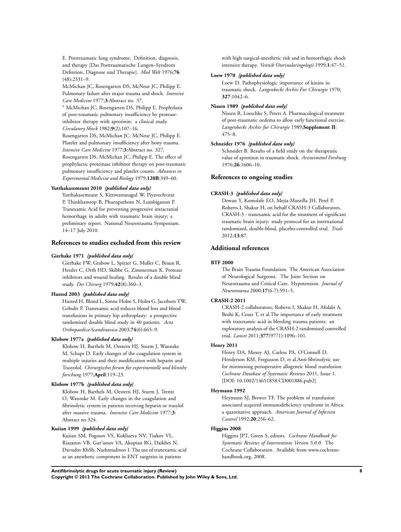E. Posttraumatic lung syndrome. Definition, diagnosis, and therapy [Das Posttraumatische Lungen–Syndrom Defintion, Diagnose und Therapie]. *Med Welt* 1976;**76** (48):2331–9.

McMichan JC, Rosengarten DS, McNeur JC, Philipp E. Pulmonary failure after major trauma and shock. *Intensive Care Medicine* 1977;**3**:Abstract no. 37.

<sup>∗</sup> McMichan JC, Rosengarten DS, Philipp E. Prophylaxis of post-traumatic pulmonary insufficiency by proteaseinhibitor therapy with aprotinin: a clinical study. *Circulatory Shock* 1982;**9**(2):107–16.

Rosengarten DS, McMichan JC, McNeur JC, Philipp E. Platelet and pulmonary insufficiency after bony trauma. *Intensive Care Medicine* 1977;**3**:Abstract no. 327. Rosengarten DS, McMichan JC, Philipp E. The effect of prophylactic proteinase inhibitor therapy on post-traumatic pulmonary insufficiency and platelet counts. *Advances in Experimental Medicine and Biology* 1979;**120B**:349–60.

#### **Yutthakasemsunt 2010** *{published data only}*

Yutthakasemsunt S, Kittiwattanagul W, Piyavechvirat P, Thinkhamrop B, Phuenpathom N, Lumbiganon P. Tranexamic Acid for preventing progressive intracranial hemorrhage in adults with traumatic brain injury; a preliminary report. National Neurotrauma Symposium. 14–17 July 2010.

#### **References to studies excluded from this review**

#### **Gierhake 1971** *{published data only}*

Gierhake FW, Grabow L, Spitzer G, Muller C, Braun R, Hessler C, Orth HD, Skibbe G, Zimmerman K. Protease inhibitors and wound healing. Results of a double blind study. *Der Chirurg* 1979;**42**(8):360–3.

#### **Husted 2003** *{published data only}*

Husted H, Blond L, Sonne Holm S, Holm G, Jacobsen TW, Gebuhr P. Tranexamic acid reduces blood loss and blood transfusions in primary hip arthroplasty: a prospective randomized double blind study in 40 patients. *Acta Orthopaedica Scandinavica* 2003;**74**(6):665–9.

#### **Klobow 1977a** *{published data only}*

Klobow H, Barthels M, Oestern HJ, Sturm J, Wannske M, Schaps D. Early changes of the coagulation system in multiple injuries and their modification with heparin and Trasyolol. *Chirurgisches forum fur experimentelle und klinishe forschung* 1977;**April**:119–23.

#### **Klobow 1977b** *{published data only}*

Klobow H, Barthels M, Oestern HJ, Sturm J, Trentz O, Wannske M. Early changes in the coagulation and fibrinolytic system in patients receiving heparin or trasylol after massive trauma. *Intensive Care Medicine* 1977;**3**: Abstract no 324.

#### **Kuiian 1999** *{published data only}*

Kuiian SM, Pogosov VS, Kokliaeva NV, Tiukov VL, Riazanov VB, Gur'ianov VA, Akopian RG, Daikhes N, Davudov KhSh, Nazhmudinov I. The use of tranexamic acid as an anesthetic component in ENT surgeries in patients

with high surgical-anesthetic risk and in hemorrhagic shock intensive therapy. *Vestnik Otorinolaringologii* 1999;**1**:47–51.

#### **Loew 1970** *{published data only}*

Loew D. Pathophysiologic importance of kinins in traumatic shock. *Langenbecks Archiv Fur Chirurgie* 1970; **327**:1042–6.

#### **Nissen 1989** *{published data only}*

Nissen R, Loeschke S, Peters A. Pharmacological treatment of post-traumatic oedema to allow early functional exercise. *Langenbecks Archiv fur Chirurgie* 1989;**Supplement II**: 475–8.

#### **Schneider 1976** *{published data only}*

Schneider B. Results of a field study on the therapeutic value of aprotinin in traumatic shock. *Arzneimittel Forshung* 1976;**26**:1606–10.

#### **References to ongoing studies**

#### **CRASH-3** *{published data only}*

Dewan Y, Komolafe EO, Mejía-Mantilla JH, Perel P, Roberts I, Shakur H, on behalf CRASH-3 Collaborators. CRASH-3 - tranexamic acid for the treatment of significant traumatic brain injury: study protocol for an international randomized, double-blind, placebo-controlled trial. *Trials* 2012;**13**:87.

#### **Additional references**

#### **BTF 2000**

The Brain Trauma Foundation. The American Association of Neurological Surgeons. The Joint Section on Neurotrauma and Critical Care. Hypotension. *Journal of Neurotrauma* 2000;**17**(6-7):591–5.

#### **CRASH-2 2011**

CRASH-2 collaborators, Roberts I, Shakur H, Afolabi A, Brohi K, Coats T, et al.The importance of early treatment with tranexamic acid in bleeding trauma patients: an exploratory analysis of the CRASH-2 randomised controlled trial. *Lancet* 2011;**377**(9771):1096–101.

#### **Henry 2011**

Henry DA, Moxey AJ, Carless PA, O'Connell D, Henderson KM, Fergusson D, et al.Anti-fibrinolytic use for minimising perioperative allogeneic blood transfusion. *Cochrane Database of Systematic Reviews* 2011, Issue 1. [DOI: 10.1002/14651858.CD001886.pub2]

#### **Heymann 1992**

Heymann SJ, Brewer TF. The problem of transfusion associated acquired immunodeficiency syndrome in Africa: a quantitative approach. *American Journal of Infection Control* 1992;**20**:256–62.

## **Higgins 2008**

Higgins JPT, Green S, editors. *Cochrane Handbook for Systematic Reviews of Interventions Version 5.0.0*. The Cochrane Collaboration. Available from www.cochranehandbook.org, 2008.

**Antifibrinolytic drugs for acute traumatic injury (Review) 8 Copyright © 2012 The Cochrane Collaboration. Published by John Wiley & Sons, Ltd.**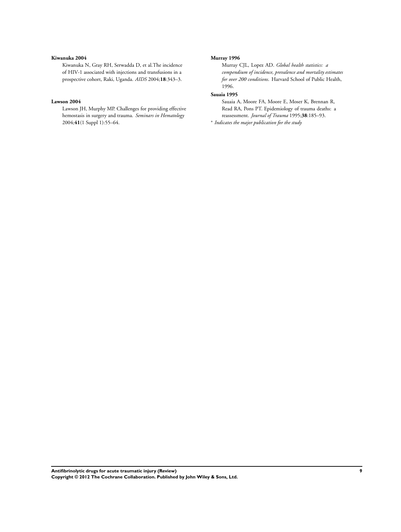#### **Kiwanuka 2004**

Kiwanuka N, Gray RH, Serwadda D, et al.The incidence of HIV-1 associated with injections and transfusions in a prospective cohort, Raki, Uganda. *AIDS* 2004;**18**:343–3.

#### **Lawson 2004**

Lawson JH, Murphy MP. Challenges for providing effective hemostasis in surgery and trauma. *Seminars in Hematology* 2004;**41**(1 Suppl 1):55–64.

#### **Murray 1996**

Murray CJL, Lopez AD. *Global health statistics: a compendium of incidence, prevalence and mortality estimates for over 200 conditions*. Harvard School of Public Health, 1996.

#### **Sauaia 1995**

Sauaia A, Moore FA, Moore E, Moser K, Brennan R, Read RA, Pons PT. Epidemiology of trauma deaths: a reassessment. *Journal of Trauma* 1995;**38**:185–93.

∗ *Indicates the major publication for the study*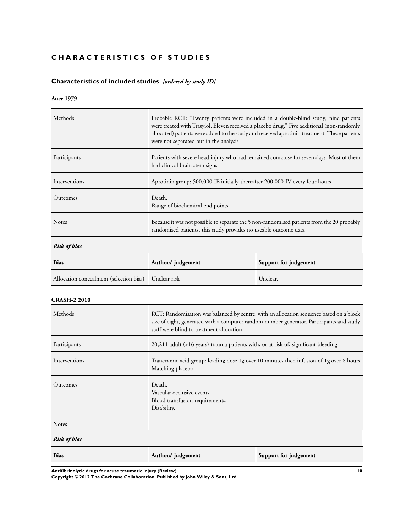## <span id="page-11-0"></span>**CHARACTERISTICS OF STUDIES**

## **Characteristics of included studies** *[ordered by study ID]*

## **Auer 1979**

| Methods                                 | Probable RCT: "Twenty patients were included in a double-blind study; nine patients<br>were treated with Trasylol. Eleven received a placebo drug." Five additional (non-randomly<br>allocated) patients were added to the study and received aprotinin treatment. These patients<br>were not separated out in the analysis |                       |  |  |  |  |
|-----------------------------------------|-----------------------------------------------------------------------------------------------------------------------------------------------------------------------------------------------------------------------------------------------------------------------------------------------------------------------------|-----------------------|--|--|--|--|
| Participants                            | Patients with severe head injury who had remained comatose for seven days. Most of them<br>had clinical brain stem signs                                                                                                                                                                                                    |                       |  |  |  |  |
| Interventions                           | Aprotinin group: 500,000 IE initially thereafter 200,000 IV every four hours                                                                                                                                                                                                                                                |                       |  |  |  |  |
| Outcomes                                | Death.<br>Range of biochemical end points.                                                                                                                                                                                                                                                                                  |                       |  |  |  |  |
| Notes                                   | Because it was not possible to separate the 5 non-randomised patients from the 20 probably<br>randomised patients, this study provides no useable outcome data                                                                                                                                                              |                       |  |  |  |  |
| Risk of bias                            |                                                                                                                                                                                                                                                                                                                             |                       |  |  |  |  |
| <b>Bias</b>                             | Authors' judgement                                                                                                                                                                                                                                                                                                          | Support for judgement |  |  |  |  |
| Allocation concealment (selection bias) | Unclear risk                                                                                                                                                                                                                                                                                                                | Unclear.              |  |  |  |  |
| <b>CRASH-2 2010</b>                     |                                                                                                                                                                                                                                                                                                                             |                       |  |  |  |  |
| Methods                                 | RCT: Randomisation was balanced by centre, with an allocation sequence based on a block<br>size of eight, generated with a computer random number generator. Participants and study<br>staff were blind to treatment allocation                                                                                             |                       |  |  |  |  |
| Participants                            | 20,211 adult (>16 years) trauma patients with, or at risk of, significant bleeding                                                                                                                                                                                                                                          |                       |  |  |  |  |
| Interventions                           | Tranexamic acid group: loading dose 1g over 10 minutes then infusion of 1g over 8 hours<br>Matching placebo.                                                                                                                                                                                                                |                       |  |  |  |  |
| Outcomes                                | Death.<br>Vascular occlusive events.<br>Blood transfusion requirements.<br>Disability.                                                                                                                                                                                                                                      |                       |  |  |  |  |
| Notes                                   |                                                                                                                                                                                                                                                                                                                             |                       |  |  |  |  |
| <b>Risk of bias</b>                     |                                                                                                                                                                                                                                                                                                                             |                       |  |  |  |  |
| Bias                                    | Authors' judgement                                                                                                                                                                                                                                                                                                          | Support for judgement |  |  |  |  |

**Antifibrinolytic drugs for acute traumatic injury (Review) 10**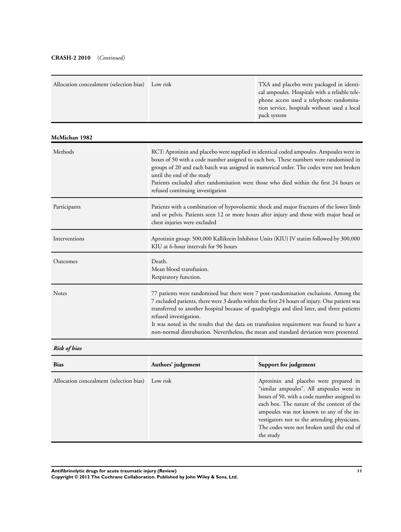## **CRASH-2 2010** (*Continued)*

| Allocation concealment (selection bias) | Low risk                                                                                                                                                                                                                                                                                                                                                                                                                                                                                            | TXA and placebo were packaged in identi-<br>cal ampoules. Hospitals with a reliable tele-<br>phone access used a telephone randomisa-<br>tion service, hospitals without used a local<br>pack system |  |  |  |  |
|-----------------------------------------|-----------------------------------------------------------------------------------------------------------------------------------------------------------------------------------------------------------------------------------------------------------------------------------------------------------------------------------------------------------------------------------------------------------------------------------------------------------------------------------------------------|------------------------------------------------------------------------------------------------------------------------------------------------------------------------------------------------------|--|--|--|--|
| McMichan 1982                           |                                                                                                                                                                                                                                                                                                                                                                                                                                                                                                     |                                                                                                                                                                                                      |  |  |  |  |
| Methods                                 | RCT: Aprotinin and placebo were supplied in identical coded ampoules. Ampoules were in<br>boxes of 50 with a code number assigned to each box. These numbers were randomised in<br>groups of 20 and each batch was assigned in numerical order. The codes were not broken<br>until the end of the study<br>Patients excluded after randomisation were those who died within the first 24 hours or<br>refused continuing investigation                                                               |                                                                                                                                                                                                      |  |  |  |  |
| Participants                            | Patients with a combination of hypovolaemic shock and major fractures of the lower limb<br>and or pelvis. Patients seen 12 or more hours after injury and those with major head or<br>chest injuries were excluded                                                                                                                                                                                                                                                                                  |                                                                                                                                                                                                      |  |  |  |  |
| Interventions                           | Aprotinin group: 500,000 Kallikrein Inhibitor Units (KIU) IV statim followed by 300,000<br>KIU at 6-hour intervals for 96 hours                                                                                                                                                                                                                                                                                                                                                                     |                                                                                                                                                                                                      |  |  |  |  |
| Outcomes                                | Death.<br>Mean blood transfusion.<br>Respiratory function.                                                                                                                                                                                                                                                                                                                                                                                                                                          |                                                                                                                                                                                                      |  |  |  |  |
| <b>Notes</b>                            | 77 patients were randomised but there were 7 post-randomisation exclusions. Among the<br>7 excluded patients, there were 3 deaths within the first 24 hours of injury. One patient was<br>transferred to another hospital because of quadriplegia and died later, and three patients<br>refused investigation.<br>It was noted in the results that the data on transfusion requirement was found to have a<br>non-normal distrubution. Nevertheless, the mean and standard deviation were presented |                                                                                                                                                                                                      |  |  |  |  |
|                                         |                                                                                                                                                                                                                                                                                                                                                                                                                                                                                                     |                                                                                                                                                                                                      |  |  |  |  |

*Risk of bias*

| <b>Bias</b>                                      | Authors' judgement | Support for judgement                                                                                                                                                                                                                                                                                                                  |
|--------------------------------------------------|--------------------|----------------------------------------------------------------------------------------------------------------------------------------------------------------------------------------------------------------------------------------------------------------------------------------------------------------------------------------|
| Allocation concealment (selection bias) Low risk |                    | Aprotinin and placebo were prepared in<br>"similar ampoules". All ampoules were in<br>boxes of 50, with a code number assigned to<br>each box. The nature of the content of the<br>ampoules was not known to any of the in-<br>vestigators nor to the attending physicians.<br>The codes were not broken until the end of<br>the study |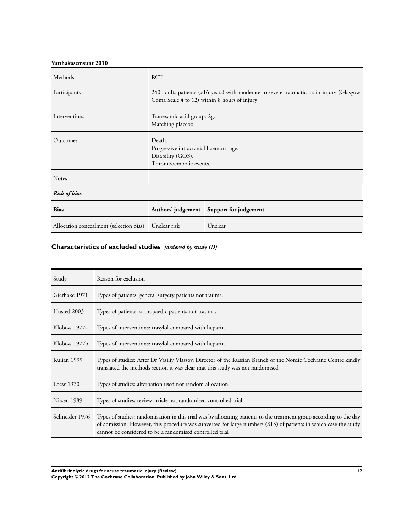**Yutthakasemsunt 2010**

| Methods                                 | <b>RCT</b>                                                                                     |                                                                                                                                         |  |  |  |  |
|-----------------------------------------|------------------------------------------------------------------------------------------------|-----------------------------------------------------------------------------------------------------------------------------------------|--|--|--|--|
| Participants                            |                                                                                                | 240 adults patients (>16 years) with moderate to severe traumatic brain injury (Glasgow<br>Coma Scale 4 to 12) within 8 hours of injury |  |  |  |  |
| Interventions                           | Tranexamic acid group: 2g.<br>Matching placebo.                                                |                                                                                                                                         |  |  |  |  |
| Outcomes                                | Death.<br>Progressive intracranial haemorrhage.<br>Disability (GOS).<br>Thromboembolic events. |                                                                                                                                         |  |  |  |  |
| <b>Notes</b>                            |                                                                                                |                                                                                                                                         |  |  |  |  |
| <b>Risk of bias</b>                     |                                                                                                |                                                                                                                                         |  |  |  |  |
| <b>Bias</b>                             | Authors' judgement Support for judgement                                                       |                                                                                                                                         |  |  |  |  |
| Allocation concealment (selection bias) | Unclear risk                                                                                   | Unclear                                                                                                                                 |  |  |  |  |

## **Characteristics of excluded studies** *[ordered by study ID]*

| Study          | Reason for exclusion                                                                                                                                                                                                                                                                                |
|----------------|-----------------------------------------------------------------------------------------------------------------------------------------------------------------------------------------------------------------------------------------------------------------------------------------------------|
| Gierhake 1971  | Types of patients: general surgery patients not trauma.                                                                                                                                                                                                                                             |
| Husted 2003    | Types of patients: orthopaedic patients not trauma.                                                                                                                                                                                                                                                 |
| Klobow 1977a   | Types of interventions: trasylol compared with heparin.                                                                                                                                                                                                                                             |
| Klobow 1977b   | Types of interventions: trasylol compared with heparin.                                                                                                                                                                                                                                             |
| Kuiian 1999    | Types of studies: After Dr Vasiliy Vlassov, Director of the Russian Branch of the Nordic Cochrane Centre kindly<br>translated the methods section it was clear that this study was not randomised                                                                                                   |
| Loew $1970$    | Types of studies: alternation used not random allocation.                                                                                                                                                                                                                                           |
| Nissen 1989    | Types of studies: review article not randomised controlled trial                                                                                                                                                                                                                                    |
| Schneider 1976 | Types of studies: randomisation in this trial was by allocating patients to the treatment group according to the day<br>of admission. However, this procedure was subverted for large numbers (813) of patients in which case the study<br>cannot be considered to be a randomised controlled trial |

**Antifibrinolytic drugs for acute traumatic injury (Review) 12**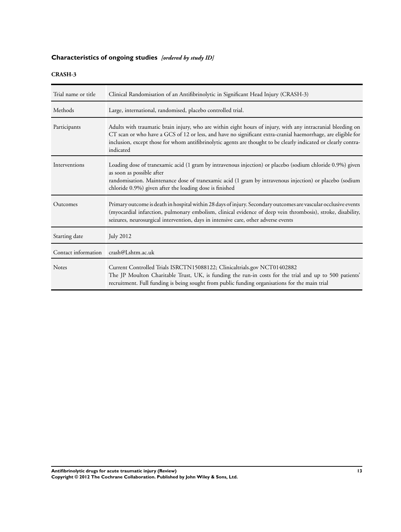## **Characteristics of ongoing studies** *[ordered by study ID]*

## **CRASH-3**

| Trial name or title | Clinical Randomisation of an Antifibrinolytic in Significant Head Injury (CRASH-3)                                                                                                                                                                                                                                                                          |  |  |  |  |  |
|---------------------|-------------------------------------------------------------------------------------------------------------------------------------------------------------------------------------------------------------------------------------------------------------------------------------------------------------------------------------------------------------|--|--|--|--|--|
| Methods             | Large, international, randomised, placebo controlled trial.                                                                                                                                                                                                                                                                                                 |  |  |  |  |  |
| Participants        | Adults with traumatic brain injury, who are within eight hours of injury, with any intracranial bleeding on<br>CT scan or who have a GCS of 12 or less, and have no significant extra-cranial haemorrhage, are eligible for<br>inclusion, except those for whom antifibrinolytic agents are thought to be clearly indicated or clearly contra-<br>indicated |  |  |  |  |  |
| Interventions       | Loading dose of tranexamic acid (1 gram by intravenous injection) or placebo (sodium chloride 0.9%) given<br>as soon as possible after<br>randomisation. Maintenance dose of tranexamic acid (1 gram by intravenous injection) or placebo (sodium<br>chloride 0.9%) given after the loading dose is finished                                                |  |  |  |  |  |
| Outcomes            | Primary outcome is death in hospital within 28 days of injury. Secondary outcomes are vascular occlusive events<br>(myocardial infarction, pulmonary embolism, clinical evidence of deep vein thrombosis), stroke, disability,<br>seizures, neurosurgical intervention, days in intensive care, other adverse events                                        |  |  |  |  |  |
| Starting date       | <b>July 2012</b>                                                                                                                                                                                                                                                                                                                                            |  |  |  |  |  |
| Contact information | crash@Lshtm.ac.uk                                                                                                                                                                                                                                                                                                                                           |  |  |  |  |  |
| <b>Notes</b>        | Current Controlled Trials ISRCTN15088122; Clinicaltrials.gov NCT01402882<br>The JP Moulton Charitable Trust, UK, is funding the run-in costs for the trial and up to 500 patients'<br>recruitment. Full funding is being sought from public funding organisations for the main trial                                                                        |  |  |  |  |  |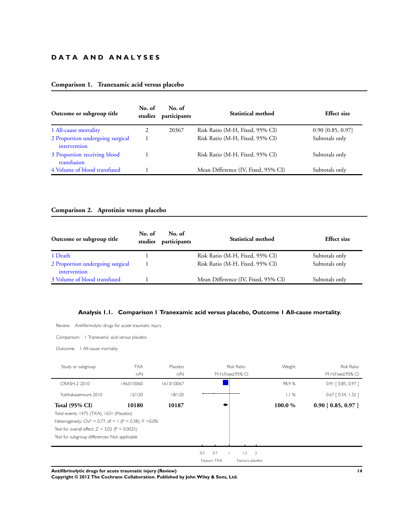## **D A T A A N D A N A L Y S E S**

## **Comparison 1. Tranexamic acid versus placebo**

| Outcome or subgroup title                        | No. of<br>studies | No. of<br>participants | Statistical method                  | <b>Effect size</b>  |
|--------------------------------------------------|-------------------|------------------------|-------------------------------------|---------------------|
| 1 All-cause mortality                            |                   | 20367                  | Risk Ratio (M-H, Fixed, 95% CI)     | $0.90$ [0.85, 0.97] |
| 2 Proportion undergoing surgical<br>intervention |                   |                        | Risk Ratio (M-H, Fixed, 95% CI)     | Subtotals only      |
| 3 Proportion receiving blood<br>transfusion      |                   |                        | Risk Ratio (M-H, Fixed, 95% CI)     | Subtotals only      |
| 4 Volume of blood transfused                     |                   |                        | Mean Difference (IV, Fixed, 95% CI) | Subtotals only      |

## **Comparison 2. Aprotinin versus placebo**

| Outcome or subgroup title                        | No. of<br>studies | No. of<br>participants | <b>Statistical method</b>           | <b>Effect size</b> |
|--------------------------------------------------|-------------------|------------------------|-------------------------------------|--------------------|
| 1 Death                                          |                   |                        | Risk Ratio (M-H, Fixed, 95% CI)     | Subtotals only     |
| 2 Proportion undergoing surgical<br>intervention |                   |                        | Risk Ratio (M-H, Fixed, 95% CI)     | Subtotals only     |
| 3 Volume of blood transfused                     |                   |                        | Mean Difference (IV, Fixed, 95% CI) | Subtotals only     |

## **Analysis 1.1. Comparison 1 Tranexamic acid versus placebo, Outcome 1 All-cause mortality.**

Review: Antifibrinolytic drugs for acute traumatic injury

Comparison: 1 Tranexamic acid versus placebo

Outcome: I All-cause mortality

| Study or subgroup                                                      | <b>TXA</b> | Placebo    |     |             | <b>Risk Ratio</b>  | Weight  | <b>Risk Ratio</b>     |
|------------------------------------------------------------------------|------------|------------|-----|-------------|--------------------|---------|-----------------------|
|                                                                        | n/N        | n/N        |     |             | M-H, Fixed, 95% CI |         | M-H, Fixed, 95% CI    |
| CRASH-2 2010                                                           | 1463/10060 | 1613/10067 |     |             |                    | 98.9%   | $0.91$ $[0.85, 0.97]$ |
| Yutthakasemsunt 2010                                                   | 12/120     | 18/120     |     |             |                    | 1.1%    | $0.67$ [ 0.34, 1.32 ] |
| <b>Total (95% CI)</b>                                                  | 10180      | 10187      |     |             |                    | 100.0 % | $0.90$ [ 0.85, 0.97 ] |
| Total events: 1475 (TXA), 1631 (Placebo)                               |            |            |     |             |                    |         |                       |
| Heterogeneity: Chi <sup>2</sup> = 0.77, df = 1 (P = 0.38); $1^2$ =0.0% |            |            |     |             |                    |         |                       |
| Test for overall effect: $Z = 3.02$ (P = 0.0025)                       |            |            |     |             |                    |         |                       |
| Test for subgroup differences: Not applicable                          |            |            |     |             |                    |         |                       |
|                                                                        |            |            |     |             |                    |         |                       |
|                                                                        |            |            | 0.5 | 0.7         | $1.5 - 2$          |         |                       |
|                                                                        |            |            |     | Favours TXA | Favours placebo    |         |                       |

**Antifibrinolytic drugs for acute traumatic injury (Review) 14**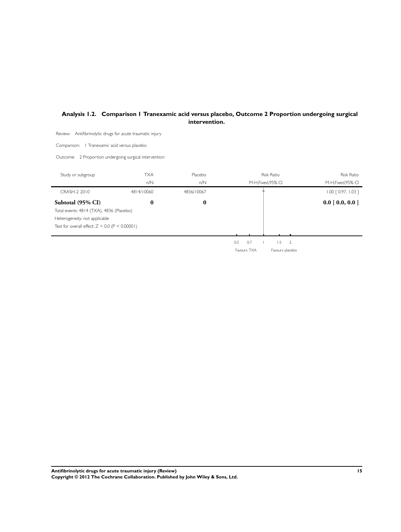## <span id="page-16-0"></span>**Analysis 1.2. Comparison 1 Tranexamic acid versus placebo, Outcome 2 Proportion undergoing surgical intervention.**

Review: Antifibrinolytic drugs for acute traumatic injury

Comparison: 1 Tranexamic acid versus placebo

Outcome: 2 Proportion undergoing surgical intervention

| Study or subgroup                                | <b>TXA</b> | Placebo    |             | <b>Risk Ratio</b>     | <b>Risk Ratio</b>           |
|--------------------------------------------------|------------|------------|-------------|-----------------------|-----------------------------|
|                                                  | n/N        | n/N        |             | M-H, Fixed, 95% CI    | M-H, Fixed, 95% CI          |
| CRASH-2 2010                                     | 4814/10060 | 4836/10067 |             |                       | $1.00$ $[0.97, 1.03]$       |
| Subtotal (95% CI)                                | $\bf{0}$   | $\bf{0}$   |             |                       | $0.0 \,   \, 0.0, 0.0 \,  $ |
| Total events: 4814 (TXA), 4836 (Placebo)         |            |            |             |                       |                             |
| Heterogeneity: not applicable                    |            |            |             |                       |                             |
| Test for overall effect: $Z = 0.0$ (P < 0.00001) |            |            |             |                       |                             |
|                                                  |            |            |             |                       |                             |
|                                                  |            |            | 0.7<br>0.5  | 1.5<br>$\overline{2}$ |                             |
|                                                  |            |            | Favours TXA | Favours placebo       |                             |
|                                                  |            |            |             |                       |                             |

**Antifibrinolytic drugs for acute traumatic injury (Review) 15 Copyright © 2012 The Cochrane Collaboration. Published by John Wiley & Sons, Ltd.**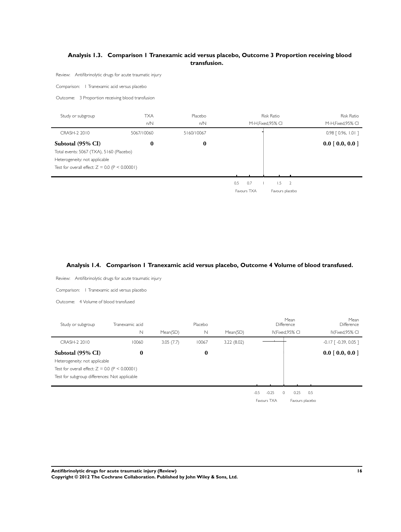## <span id="page-17-0"></span>**Analysis 1.3. Comparison 1 Tranexamic acid versus placebo, Outcome 3 Proportion receiving blood transfusion.**

Review: Antifibrinolytic drugs for acute traumatic injury

Comparison: 1 Tranexamic acid versus placebo

Outcome: 3 Proportion receiving blood transfusion

| Study or subgroup                                | TXA        | Placebo    |     |     | Risk Ratio         | <b>Risk Ratio</b>     |
|--------------------------------------------------|------------|------------|-----|-----|--------------------|-----------------------|
|                                                  | n/N        | n/N        |     |     | M-H, Fixed, 95% CI | M-H, Fixed, 95% CI    |
| CRASH-2 2010                                     | 5067/10060 | 5160/10067 |     |     |                    | $0.98$ $[0.96, 1.01]$ |
| Subtotal (95% CI)                                | 0          | $\bf{0}$   |     |     |                    | $0.0$ [ 0.0, 0.0 ]    |
| Total events: 5067 (TXA), 5160 (Placebo)         |            |            |     |     |                    |                       |
| Heterogeneity: not applicable                    |            |            |     |     |                    |                       |
| Test for overall effect: $Z = 0.0$ (P < 0.00001) |            |            |     |     |                    |                       |
|                                                  |            |            |     |     |                    |                       |
|                                                  |            |            | 0.5 | 0.7 | .5                 |                       |

Favours TXA Favours placebo

## **Analysis 1.4. Comparison 1 Tranexamic acid versus placebo, Outcome 4 Volume of blood transfused.**

| Review: Antifibrinolytic drugs for acute traumatic injury                                                                                               |                      |           |                        |             |                   |                                         |                                         |
|---------------------------------------------------------------------------------------------------------------------------------------------------------|----------------------|-----------|------------------------|-------------|-------------------|-----------------------------------------|-----------------------------------------|
| Comparison:   Tranexamic acid versus placebo                                                                                                            |                      |           |                        |             |                   |                                         |                                         |
| Outcome: 4 Volume of blood transfused                                                                                                                   |                      |           |                        |             |                   |                                         |                                         |
| Study or subgroup                                                                                                                                       | Tranexamic acid<br>N | Mean(SD)  | Placebo<br>$\mathbb N$ | Mean(SD)    |                   | Mean<br>Difference<br>IV, Fixed, 95% CI | Mean<br>Difference<br>IV, Fixed, 95% CI |
| CRASH-2 2010                                                                                                                                            | 10060                | 3.05(7.7) | 10067                  | 3.22 (8.02) |                   |                                         | $-0.17$ [ $-0.39$ , 0.05]               |
| Subtotal (95% CI)<br>Heterogeneity: not applicable<br>Test for overall effect: $Z = 0.0$ (P < 0.00001)<br>Test for subgroup differences: Not applicable | $\bf{0}$             |           | $\bf{0}$               |             |                   |                                         | 0.0 [0.0, 0.0]                          |
|                                                                                                                                                         |                      |           |                        |             | $-0.25$<br>$-0.5$ | 0.5<br>0.25<br>0                        |                                         |
|                                                                                                                                                         |                      |           |                        |             | Favours TXA       | Favours placebo                         |                                         |
|                                                                                                                                                         |                      |           |                        |             |                   |                                         |                                         |
| Antifibrinolytic drugs for acute traumatic injury (Review)                                                                                              |                      |           |                        |             |                   |                                         | 16                                      |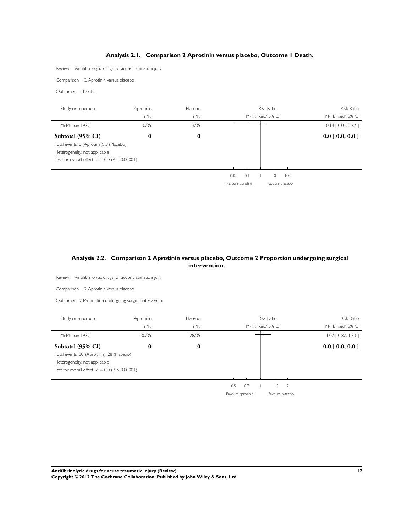## **Analysis 2.1. Comparison 2 Aprotinin versus placebo, Outcome 1 Death.**

<span id="page-18-0"></span>Review: Antifibrinolytic drugs for acute traumatic injury

Comparison: 2 Aprotinin versus placebo

Outcome: 1 Death

| Study or subgroup                                | Aprotinin | Placebo |                   | <b>Risk Ratio</b>     | <b>Risk Ratio</b>     |
|--------------------------------------------------|-----------|---------|-------------------|-----------------------|-----------------------|
|                                                  | n/N       | n/N     |                   | M-H.Fixed.95% CI      | M-H.Fixed.95% CI      |
| McMichan 1982                                    | 0/35      | 3/35    |                   |                       | $0.14$ [ 0.01, 2.67 ] |
| Subtotal (95% CI)                                | $\bf{0}$  | 0       |                   |                       | $0.0$ [ 0.0, 0.0 ]    |
| Total events: 0 (Aprotinin), 3 (Placebo)         |           |         |                   |                       |                       |
| Heterogeneity: not applicable                    |           |         |                   |                       |                       |
| Test for overall effect: $Z = 0.0$ (P < 0.00001) |           |         |                   |                       |                       |
|                                                  |           |         |                   |                       |                       |
|                                                  |           |         | 0.01<br>0.1       | 100<br>$\overline{0}$ |                       |
|                                                  |           |         | Favours aprotinin | Favours placebo       |                       |

## **Analysis 2.2. Comparison 2 Aprotinin versus placebo, Outcome 2 Proportion undergoing surgical intervention.**

| Review: Antifibrinolytic drugs for acute traumatic injury                                                                                            |                  |                |                                         |                                         |
|------------------------------------------------------------------------------------------------------------------------------------------------------|------------------|----------------|-----------------------------------------|-----------------------------------------|
| Comparison: 2 Aprotinin versus placebo                                                                                                               |                  |                |                                         |                                         |
| Outcome: 2 Proportion undergoing surgical intervention                                                                                               |                  |                |                                         |                                         |
| Study or subgroup                                                                                                                                    | Aprotinin<br>n/N | Placebo<br>n/N | <b>Risk Ratio</b><br>M-H, Fixed, 95% CI | <b>Risk Ratio</b><br>M-H, Fixed, 95% CI |
| McMichan 1982                                                                                                                                        | 30/35            | 28/35          |                                         | $1.07$ $[0.87, 1.33]$                   |
| Subtotal (95% CI)<br>Total events: 30 (Aprotinin), 28 (Placebo)<br>Heterogeneity: not applicable<br>Test for overall effect: $Z = 0.0$ (P < 0.00001) | $\bf{0}$         | $\bf{0}$       |                                         | 0.0 [0.0, 0.0]                          |
|                                                                                                                                                      |                  |                | 1.5<br>0.5<br>0.7<br>$\overline{2}$     |                                         |
|                                                                                                                                                      |                  |                | Favours aprotinin<br>Favours placebo    |                                         |
|                                                                                                                                                      |                  |                |                                         |                                         |
|                                                                                                                                                      |                  |                |                                         |                                         |
|                                                                                                                                                      |                  |                |                                         |                                         |

**Antifibrinolytic drugs for acute traumatic injury (Review) 17**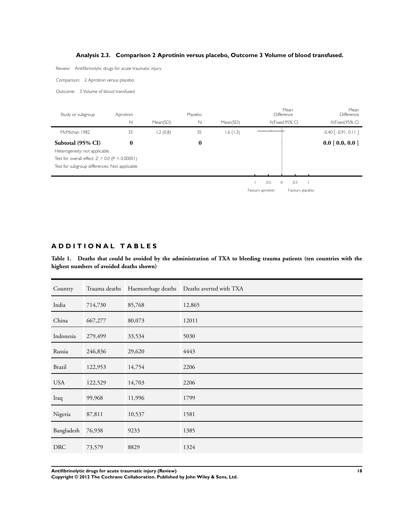## **Analysis 2.3. Comparison 2 Aprotinin versus placebo, Outcome 3 Volume of blood transfused.**

<span id="page-19-0"></span>Review: Antifibrinolytic drugs for acute traumatic injury

Comparison: 2 Aprotinin versus placebo

Outcome: 3 Volume of blood transfused

| Study or subgroup                                | Aprotinin<br>N | Mean(SD) | Placebo<br>N | Mean(SD) |                                    | Mean<br>Difference<br>IV.Fixed.95% CI | Mean<br>Difference<br>IV, Fixed, 95% CI |
|--------------------------------------------------|----------------|----------|--------------|----------|------------------------------------|---------------------------------------|-----------------------------------------|
| McMichan 1982                                    | 35             | 1.2(0.8) | 35           | 1.6(1.3) |                                    |                                       | $-0.40$ $\lceil -0.91, 0.11 \rceil$     |
| Subtotal (95% CI)                                | $\bf{0}$       |          | $\bf{0}$     |          |                                    |                                       | $0.0$ [ 0.0, 0.0 ]                      |
| Heterogeneity: not applicable                    |                |          |              |          |                                    |                                       |                                         |
| Test for overall effect: $Z = 0.0$ (P < 0.00001) |                |          |              |          |                                    |                                       |                                         |
| Test for subgroup differences: Not applicable    |                |          |              |          |                                    |                                       |                                         |
|                                                  |                |          |              |          |                                    |                                       |                                         |
|                                                  |                |          |              |          | $-0.5$<br>$\overline{\phantom{a}}$ | 0.5                                   |                                         |
|                                                  |                |          |              |          | Favours aprotinin                  | Favours placebo                       |                                         |

## **A D D I T I O N A L T A B L E S**

**Table 1. Deaths that could be avoided by the administration of TXA to bleeding trauma patients (ten countries with the highest numbers of avoided deaths shown)**

| Country    | Trauma deaths |        | Haemorrhage deaths  Deaths averted with TXA |
|------------|---------------|--------|---------------------------------------------|
| India      | 714,730       | 85,768 | 12,865                                      |
| China      | 667,277       | 80,073 | 12011                                       |
| Indonesia  | 279,499       | 33,534 | 5030                                        |
| Russia     | 246,836       | 29,620 | 4443                                        |
| Brazil     | 122,953       | 14,754 | 2206                                        |
| <b>USA</b> | 122,529       | 14,703 | 2206                                        |
| Iraq       | 99,968        | 11,996 | 1799                                        |
| Nigeria    | 87,811        | 10,537 | 1581                                        |
| Bangladesh | 76,938        | 9233   | 1385                                        |
| <b>DRC</b> | 73,579        | 8829   | 1324                                        |
|            |               |        |                                             |

**Antifibrinolytic drugs for acute traumatic injury (Review) 18**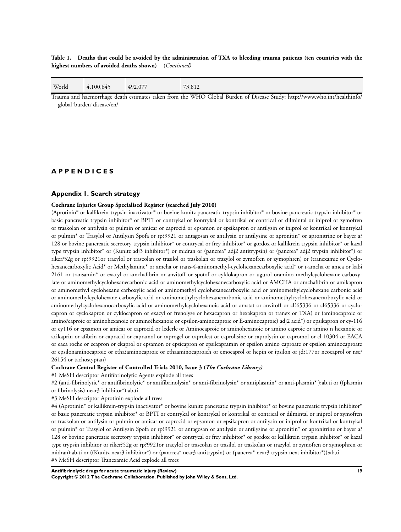<span id="page-20-0"></span>**Table 1. Deaths that could be avoided by the administration of TXA to bleeding trauma patients (ten countries with the highest numbers of avoided deaths shown)** (*Continued)*

| 492,077<br>World<br>73,812<br>4,100,645 |
|-----------------------------------------|
|                                         |

Trauma and haemorrhage death estimates taken from the WHO Global Burden of Disease Study: http://www.who.int/healthinfo/ global˙burden˙disease/en/

## **A P P E N D I C E S**

### **Appendix 1. Search strategy**

#### **Cochrane Injuries Group Specialised Register (searched July 2010)**

(Aprotinin\* or kallikrein-trypsin inactivator\* or bovine kunitz pancreatic trypsin inhibitor\* or bovine pancreatic trypsin inhibitor\* or basic pancreatic trypsin inhibitor\* or BPTI or contrykal or kontrykal or kontrikal or contrical or dilmintal or iniprol or zymofren or traskolan or antilysin or pulmin or amicar or caprocid or epsamon or epsikapron or antilysin or iniprol or kontrikal or kontrykal or pulmin\* or Trasylol or Antilysin Spofa or rp?9921 or antagosan or antilysin or antilysine or apronitin\* or apronitrine or bayer a? 128 or bovine pancreatic secretory trypsin inhibitor\* or contrycal or frey inhibitor\* or gordox or kallikrein trypsin inhibitor\* or kazal type trypsin inhibitor\* or (Kunitz adj3 inhibitor\*) or midran or (pancrea\* adj2 antitrypsin) or (pancrea\* adj2 trypsin inhibitor\*) or riker?52g or rp?9921or tracylol or trascolan or trasilol or traskolan or trazylol or zymofren or zymophren) or (tranexamic or Cyclohexanecarboxylic Acid\* or Methylamine\* or amcha or trans-4-aminomethyl-cyclohexanecarboxylic acid\* or t-amcha or amca or kabi 2161 or transamin\* or exacyl or amchafibrin or anvitoff or spotof or cyklokapron or ugurol oramino methylcyclohexane carboxylate or aminomethylcyclohexanecarbonic acid or aminomethylcyclohexanecarboxylic acid or AMCHA or amchafibrin or amikapron or aminomethyl cyclohexane carboxylic acid or aminomethyl cyclohexanecarboxylic acid or aminomethylcyclohexane carbonic acid or aminomethylcyclohexane carboxylic acid or aminomethylcyclohexanecarbonic acid or aminomethylcyclohexanecarboxylic acid or aminomethylcyclohexanocarboxylic acid or aminomethylcyclohexanoic acid or amstat or anvitoff or cl?65336 or cl65336 or cyclocapron or cyclokapron or cyklocapron or exacyl or frenolyse or hexacapron or hexakapron or tranex or TXA) or (aminocaproic or amino?caproic or aminohexanoic or amino?hexanoic or epsilon-aminocaproic or E-aminocaproic) adj2 acid\*) or epsikapron or cy-116 or cy116 or epsamon or amicar or caprocid or lederle or Aminocaproic or aminohexanoic or amino caproic or amino n hexanoic or acikaprin or afibrin or capracid or capramol or caprogel or caprolest or caprolisine or caprolysin or capromol or cl 10304 or EACA or eaca roche or ecapron or ekaprol or epsamon or epsicapron or epsilcapramin or epsilon amino caproate or epsilon aminocaproate or epsilonaminocaproic or etha?aminocaproic or ethaaminocaproich or emocaprol or hepin or ipsilon or jd?177or neocaprol or nsc? 26154 or tachostyptan)

#### **Cochrane Central Register of Controlled Trials 2010, Issue 3 (***The Cochrane Library)*

#1 MeSH descriptor Antifibrinolytic Agents explode all trees

#2 (anti-fibrinolytic\* or antifibrinolytic\* or antifibrinolysin\* or anti-fibrinolysin\* or antiplasmin\* or anti-plasmin\* ):ab,ti or ((plasmin or fibrinolysis) near3 inhibitor\*):ab,ti

#3 MeSH descriptor Aprotinin explode all trees

#4 (Aprotinin\* or kallikrein-trypsin inactivator\* or bovine kunitz pancreatic trypsin inhibitor\* or bovine pancreatic trypsin inhibitor\* or basic pancreatic trypsin inhibitor\* or BPTI or contrykal or kontrykal or kontrikal or contrical or dilmintal or iniprol or zymofren or traskolan or antilysin or pulmin or amicar or caprocid or epsamon or epsikapron or antilysin or iniprol or kontrikal or kontrykal or pulmin\* or Trasylol or Antilysin Spofa or rp?9921 or antagosan or antilysin or antilysine or apronitin\* or apronitrine or bayer a? 128 or bovine pancreatic secretory trypsin inhibitor\* or contrycal or frey inhibitor\* or gordox or kallikrein trypsin inhibitor\* or kazal type trypsin inhibitor or riker?52g or rp?9921or tracylol or trascolan or trasilol or traskolan or trazylol or zymofren or zymophren or midran):ab,ti or ((Kunitz near3 inhibitor\*) or (pancrea\* near3 antitrypsin) or (pancrea\* near3 trypsin next inhibitor\*)):ab,ti #5 MeSH descriptor Tranexamic Acid explode all trees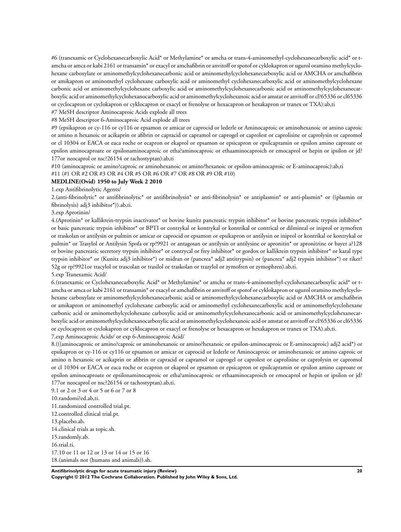#6 (tranexamic or Cyclohexanecarboxylic Acid\* or Methylamine\* or amcha or trans-4-aminomethyl-cyclohexanecarboxylic acid\* or tamcha or amca or kabi 2161 or transamin\* or exacyl or amchafibrin or anvitoff or spotof or cyklokapron or ugurol oramino methylcyclohexane carboxylate or aminomethylcyclohexanecarbonic acid or aminomethylcyclohexanecarboxylic acid or AMCHA or amchafibrin or amikapron or aminomethyl cyclohexane carboxylic acid or aminomethyl cyclohexanecarboxylic acid or aminomethylcyclohexane carbonic acid or aminomethylcyclohexane carboxylic acid or aminomethylcyclohexanecarbonic acid or aminomethylcyclohexanecarboxylic acid or aminomethylcyclohexanocarboxylic acid or aminomethylcyclohexanoic acid or amstat or anvitoff or cl?65336 or cl65336

or cyclocapron or cyclokapron or cyklocapron or exacyl or frenolyse or hexacapron or hexakapron or tranex or TXA):ab,ti

#7 MeSH descriptor Aminocaproic Acids explode all trees

#8 MeSH descriptor 6-Aminocaproic Acid explode all trees

#9 (epsikapron or cy-116 or cy116 or epsamon or amicar or caprocid or lederle or Aminocaproic or aminohexanoic or amino caproic or amino n hexanoic or acikaprin or afibrin or capracid or capramol or caprogel or caprolest or caprolisine or caprolysin or capromol or cl 10304 or EACA or eaca roche or ecapron or ekaprol or epsamon or epsicapron or epsilcapramin or epsilon amino caproate or epsilon aminocaproate or epsilonaminocaproic or etha?aminocaproic or ethaaminocaproich or emocaprol or hepin or ipsilon or jd? 177or neocaprol or nsc?26154 or tachostyptan):ab,ti

#10 (aminocaproic or amino?caproic or aminohexanoic or amino?hexanoic or epsilon-aminocaproic or E-aminocaproic):ab,ti #11 (#1 OR #2 OR #3 OR #4 OR #5 OR #6 OR #7 OR #8 OR #9 OR #10)

#### **MEDLINE(Ovid) 1950 to July Week 2 2010**

1.exp Antifibrinolytic Agents/

2.(anti-fibrinolytic\* or antifibrinolytic\* or antifibrinolysin\* or anti-fibrinolysin\* or antiplasmin\* or anti-plasmin\* or ((plasmin or fibrinolysis) adj3 inhibitor\*)).ab,ti.

#### 3.exp Aprotinin/

4.(Aprotinin\* or kallikrein-trypsin inactivator\* or bovine kunitz pancreatic trypsin inhibitor\* or bovine pancreatic trypsin inhibitor\* or basic pancreatic trypsin inhibitor\* or BPTI or contrykal or kontrykal or kontrikal or contrical or dilmintal or iniprol or zymofren or traskolan or antilysin or pulmin or amicar or caprocid or epsamon or epsikapron or antilysin or iniprol or kontrikal or kontrykal or pulmin\* or Trasylol or Antilysin Spofa or rp?9921 or antagosan or antilysin or antilysine or apronitin\* or apronitrine or bayer a?128 or bovine pancreatic secretory trypsin inhibitor\* or contrycal or frey inhibitor\* or gordox or kallikrein trypsin inhibitor\* or kazal type trypsin inhibitor\* or (Kunitz adj3 inhibitor\*) or midran or (pancrea\* adj2 antitrypsin) or (pancrea\* adj2 trypsin inhibitor\*) or riker? 52g or rp?9921or tracylol or trascolan or trasilol or traskolan or trazylol or zymofren or zymophren).ab,ti.

#### 5.exp Tranexamic Acid/

6.(tranexamic or Cyclohexanecarboxylic Acid\* or Methylamine\* or amcha or trans-4-aminomethyl-cyclohexanecarboxylic acid\* or tamcha or amca or kabi 2161 or transamin\* or exacyl or amchafibrin or anvitoff or spotof or cyklokapron or ugurol oramino methylcyclohexane carboxylate or aminomethylcyclohexanecarbonic acid or aminomethylcyclohexanecarboxylic acid or AMCHA or amchafibrin or amikapron or aminomethyl cyclohexane carboxylic acid or aminomethyl cyclohexanecarboxylic acid or aminomethylcyclohexane carbonic acid or aminomethylcyclohexane carboxylic acid or aminomethylcyclohexanecarbonic acid or aminomethylcyclohexanecarboxylic acid or aminomethylcyclohexanocarboxylic acid or aminomethylcyclohexanoic acid or amstat or anvitoff or cl?65336 or cl65336 or cyclocapron or cyclokapron or cyklocapron or exacyl or frenolyse or hexacapron or hexakapron or tranex or TXA).ab,ti.

7.exp Aminocaproic Acids/ or exp 6-Aminocaproic Acid/

8.(((aminocaproic or amino?caproic or aminohexanoic or amino?hexanoic or epsilon-aminocaproic or E-aminocaproic) adj2 acid\*) or epsikapron or cy-116 or cy116 or epsamon or amicar or caprocid or lederle or Aminocaproic or aminohexanoic or amino caproic or amino n hexanoic or acikaprin or afibrin or capracid or capramol or caprogel or caprolest or caprolisine or caprolysin or capromol or cl 10304 or EACA or eaca roche or ecapron or ekaprol or epsamon or epsicapron or epsilcapramin or epsilon amino caproate or epsilon aminocaproate or epsilonaminocaproic or etha?aminocaproic or ethaaminocaproich or emocaprol or hepin or ipsilon or jd? 177or neocaprol or nsc?26154 or tachostyptan).ab,ti.

9.1 or 2 or 3 or 4 or 5 or 6 or 7 or 8 10.randomi?ed.ab,ti. 11.randomized controlled trial.pt. 12.controlled clinical trial.pt. 13.placebo.ab. 14.clinical trials as topic.sh. 15.randomly.ab. 16.trial.ti. 17.10 or 11 or 12 or 13 or 14 or 15 or 16 18.(animals not (humans and animals)).sh.

**Antifibrinolytic drugs for acute traumatic injury (Review) 20 Copyright © 2012 The Cochrane Collaboration. Published by John Wiley & Sons, Ltd.**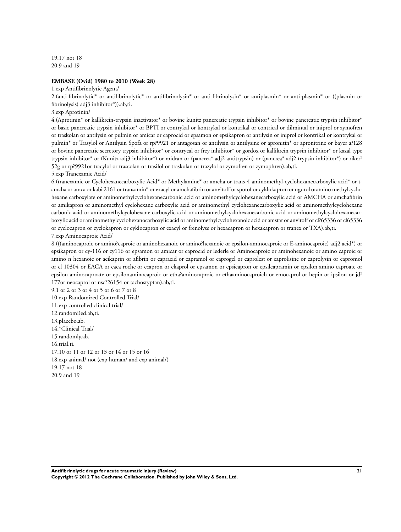19.17 not 18 20.9 and 19

#### **EMBASE (Ovid) 1980 to 2010 (Week 28)**

1.exp Antifibrinolytic Agent/

2.(anti-fibrinolytic\* or antifibrinolytic\* or antifibrinolysin\* or anti-fibrinolysin\* or antiplasmin\* or anti-plasmin\* or ((plasmin or fibrinolysis) adj3 inhibitor\*)).ab,ti.

3.exp Aprotinin/

4.(Aprotinin\* or kallikrein-trypsin inactivator\* or bovine kunitz pancreatic trypsin inhibitor\* or bovine pancreatic trypsin inhibitor\* or basic pancreatic trypsin inhibitor\* or BPTI or contrykal or kontrykal or kontrikal or contrical or dilmintal or iniprol or zymofren or traskolan or antilysin or pulmin or amicar or caprocid or epsamon or epsikapron or antilysin or iniprol or kontrikal or kontrykal or pulmin\* or Trasylol or Antilysin Spofa or rp?9921 or antagosan or antilysin or antilysine or apronitin\* or apronitrine or bayer a?128 or bovine pancreatic secretory trypsin inhibitor\* or contrycal or frey inhibitor\* or gordox or kallikrein trypsin inhibitor\* or kazal type trypsin inhibitor\* or (Kunitz adj3 inhibitor\*) or midran or (pancrea\* adj2 antitrypsin) or (pancrea\* adj2 trypsin inhibitor\*) or riker? 52g or rp?9921or tracylol or trascolan or trasilol or traskolan or trazylol or zymofren or zymophren).ab,ti.

5.exp Tranexamic Acid/

6.(tranexamic or Cyclohexanecarboxylic Acid\* or Methylamine\* or amcha or trans-4-aminomethyl-cyclohexanecarboxylic acid\* or tamcha or amca or kabi 2161 or transamin\* or exacyl or amchafibrin or anvitoff or spotof or cyklokapron or ugurol oramino methylcyclohexane carboxylate or aminomethylcyclohexanecarbonic acid or aminomethylcyclohexanecarboxylic acid or AMCHA or amchafibrin or amikapron or aminomethyl cyclohexane carboxylic acid or aminomethyl cyclohexanecarboxylic acid or aminomethylcyclohexane carbonic acid or aminomethylcyclohexane carboxylic acid or aminomethylcyclohexanecarbonic acid or aminomethylcyclohexanecarboxylic acid or aminomethylcyclohexanocarboxylic acid or aminomethylcyclohexanoic acid or amstat or anvitoff or cl?65336 or cl65336 or cyclocapron or cyclokapron or cyklocapron or exacyl or frenolyse or hexacapron or hexakapron or tranex or TXA).ab,ti.

7.exp Aminocaproic Acid/

8.(((aminocaproic or amino?caproic or aminohexanoic or amino?hexanoic or epsilon-aminocaproic or E-aminocaproic) adj2 acid\*) or epsikapron or cy-116 or cy116 or epsamon or amicar or caprocid or lederle or Aminocaproic or aminohexanoic or amino caproic or amino n hexanoic or acikaprin or afibrin or capracid or capramol or caprogel or caprolest or caprolisine or caprolysin or capromol or cl 10304 or EACA or eaca roche or ecapron or ekaprol or epsamon or epsicapron or epsilcapramin or epsilon amino caproate or epsilon aminocaproate or epsilonaminocaproic or etha?aminocaproic or ethaaminocaproich or emocaprol or hepin or ipsilon or jd? 177or neocaprol or nsc?26154 or tachostyptan).ab,ti.

9.1 or 2 or 3 or 4 or 5 or 6 or 7 or 8 10.exp Randomized Controlled Trial/ 11.exp controlled clinical trial/ 12.randomi?ed.ab,ti. 13.placebo.ab. 14.\*Clinical Trial/ 15.randomly.ab. 16.trial.ti. 17.10 or 11 or 12 or 13 or 14 or 15 or 16 18.exp animal/ not (exp human/ and exp animal/) 19.17 not 18 20.9 and 19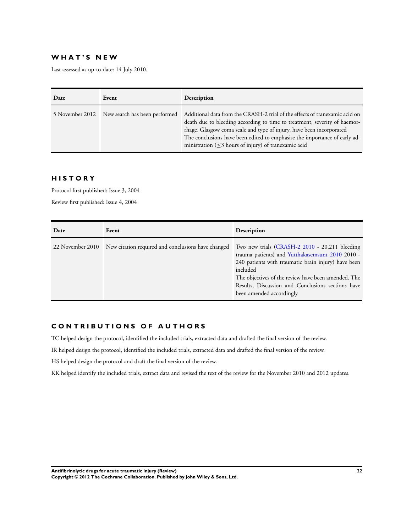## **W H A T ' S N E W**

Last assessed as up-to-date: 14 July 2010.

| Date | Event                                         | Description                                                                                                                                                                                                                                                                                                                                                                 |
|------|-----------------------------------------------|-----------------------------------------------------------------------------------------------------------------------------------------------------------------------------------------------------------------------------------------------------------------------------------------------------------------------------------------------------------------------------|
|      | 5 November 2012 New search has been performed | Additional data from the CRASH-2 trial of the effects of tranexamic acid on<br>death due to bleeding according to time to treatment, severity of haemor-<br>rhage, Glasgow coma scale and type of injury, have been incorporated<br>The conclusions have been edited to emphasise the importance of early ad-<br>ministration $(\leq$ 3 hours of injury) of tranexamic acid |

## **H I S T O R Y**

Protocol first published: Issue 3, 2004 Review first published: Issue 4, 2004

| Date             | Event                                              | Description                                                                                                                                                                                                                                                                                                   |
|------------------|----------------------------------------------------|---------------------------------------------------------------------------------------------------------------------------------------------------------------------------------------------------------------------------------------------------------------------------------------------------------------|
| 22 November 2010 | New citation required and conclusions have changed | Two new trials (CRASH-2 2010 - 20,211 bleeding<br>trauma patients) and Yutthakasemsunt 2010 2010 -<br>240 patients with traumatic brain injury) have been<br>included<br>The objectives of the review have been amended. The<br>Results, Discussion and Conclusions sections have<br>been amended accordingly |

## **C O N T R I B U T I O N S O F A U T H O R S**

TC helped design the protocol, identified the included trials, extracted data and drafted the final version of the review.

IR helped design the protocol, identified the included trials, extracted data and drafted the final version of the review.

HS helped design the protocol and draft the final version of the review.

KK helped identify the included trials, extract data and revised the text of the review for the November 2010 and 2012 updates.